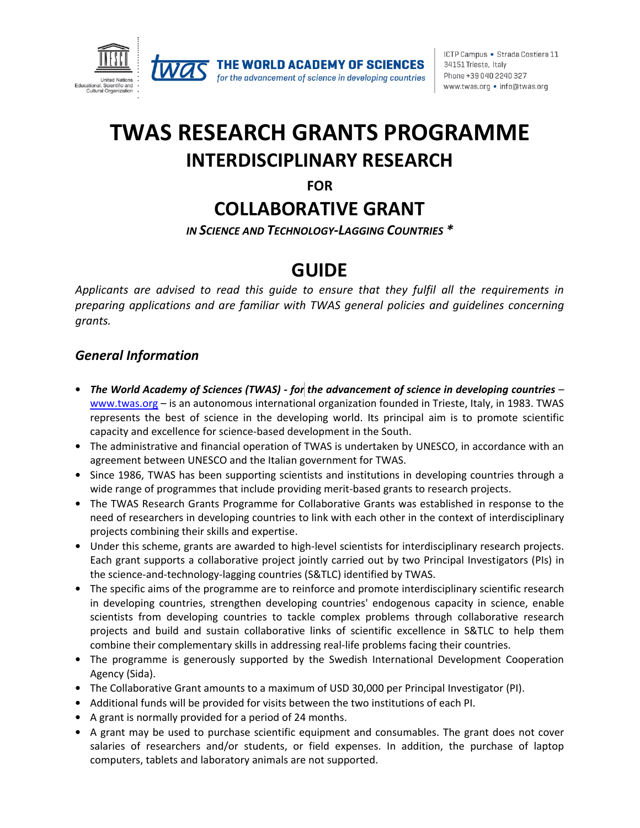

ICTP Campus · Strada Costiera 11 34151 Trieste, Italy Phone +39 040 2240 327 www.twas.org • info@twas.org

# **TWAS RESEARCH GRANTS PROGRAMME INTERDISCIPLINARY RESEARCH**

**FOR**

## **COLLABORATIVE GRANT**

*IN SCIENCE AND TECHNOLOGY-LAGGING COUNTRIES \**

### **GUIDE**

*Applicants are advised to read this guide to ensure that they fulfil all the requirements in preparing applications and are familiar with TWAS general policies and guidelines concerning grants.*

#### *General Information*

- *The World Academy of Sciences (TWAS) - for the advancement of science in developing countries* [www.twas.org](http://www.twas.org/) – is an autonomous international organization founded in Trieste, Italy, in 1983. TWAS represents the best of science in the developing world. Its principal aim is to promote scientific capacity and excellence for science-based development in the South.
- The administrative and financial operation of TWAS is undertaken by UNESCO, in accordance with an agreement between UNESCO and the Italian government for TWAS.
- Since 1986, TWAS has been supporting scientists and institutions in developing countries through a wide range of programmes that include providing merit-based grants to research projects.
- The TWAS Research Grants Programme for Collaborative Grants was established in response to the need of researchers in developing countries to link with each other in the context of interdisciplinary projects combining their skills and expertise.
- Under this scheme, grants are awarded to high-level scientists for interdisciplinary research projects. Each grant supports a collaborative project jointly carried out by two Principal Investigators (PIs) in the science-and-technology-lagging countries (S&TLC) identified by TWAS.
- The specific aims of the programme are to reinforce and promote interdisciplinary scientific research in developing countries, strengthen developing countries' endogenous capacity in science, enable scientists from developing countries to tackle complex problems through collaborative research projects and build and sustain collaborative links of scientific excellence in S&TLC to help them combine their complementary skills in addressing real-life problems facing their countries.
- The programme is generously supported by the Swedish International Development Cooperation Agency (Sida).
- The Collaborative Grant amounts to a maximum of USD 30,000 per Principal Investigator (PI).
- Additional funds will be provided for visits between the two institutions of each PI.
- A grant is normally provided for a period of 24 months.
- A grant may be used to purchase scientific equipment and consumables. The grant does not cover salaries of researchers and/or students, or field expenses. In addition, the purchase of laptop computers, tablets and laboratory animals are not supported.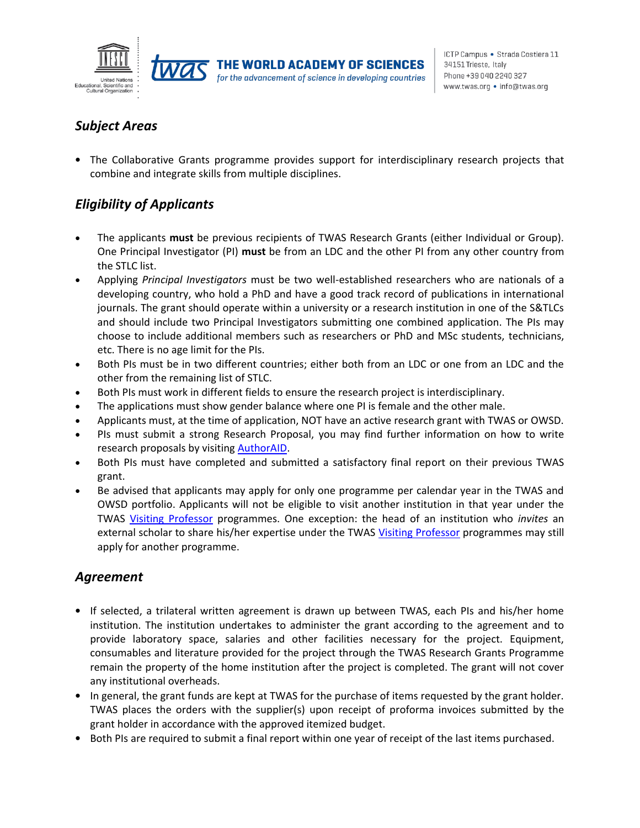



for the advancement of science in developing countries

#### *Subject Areas*

• The Collaborative Grants programme provides support for interdisciplinary research projects that combine and integrate skills from multiple disciplines.

### *Eligibility of Applicants*

- The applicants **must** be previous recipients of TWAS Research Grants (either Individual or Group). One Principal Investigator (PI) **must** be from an LDC and the other PI from any other country from the STLC list.
- Applying *Principal Investigators* must be two well-established researchers who are nationals of a developing country, who hold a PhD and have a good track record of publications in international journals. The grant should operate within a university or a research institution in one of the S&TLCs and should include two Principal Investigators submitting one combined application. The PIs may choose to include additional members such as researchers or PhD and MSc students, technicians, etc. There is no age limit for the PIs.
- Both PIs must be in two different countries; either both from an LDC or one from an LDC and the other from the remaining list of STLC.
- Both PIs must work in different fields to ensure the research project is interdisciplinary.
- The applications must show gender balance where one PI is female and the other male.
- Applicants must, at the time of application, NOT have an active research grant with TWAS or OWSD.
- PIs must submit a strong Research Proposal, you may find further information on how to write research proposals by visiting **AuthorAID**.
- Both PIs must have completed and submitted a satisfactory final report on their previous TWAS grant.
- Be advised that applicants may apply for only one programme per calendar year in the TWAS and OWSD portfolio. Applicants will not be eligible to visit another institution in that year under the TWAS [Visiting Professor](https://twas.org/opportunities/visiting-scientist/professors) programmes. One exception: the head of an institution who *invites* an external scholar to share his/her expertise under the TWAS [Visiting Professor](https://twas.org/opportunities/visiting-scientist/professors) programmes may still apply for another programme.

#### *Agreement*

- If selected, a trilateral written agreement is drawn up between TWAS, each PIs and his/her home institution. The institution undertakes to administer the grant according to the agreement and to provide laboratory space, salaries and other facilities necessary for the project. Equipment, consumables and literature provided for the project through the TWAS Research Grants Programme remain the property of the home institution after the project is completed. The grant will not cover any institutional overheads.
- In general, the grant funds are kept at TWAS for the purchase of items requested by the grant holder. TWAS places the orders with the supplier(s) upon receipt of proforma invoices submitted by the grant holder in accordance with the approved itemized budget.
- Both PIs are required to submit a final report within one year of receipt of the last items purchased.